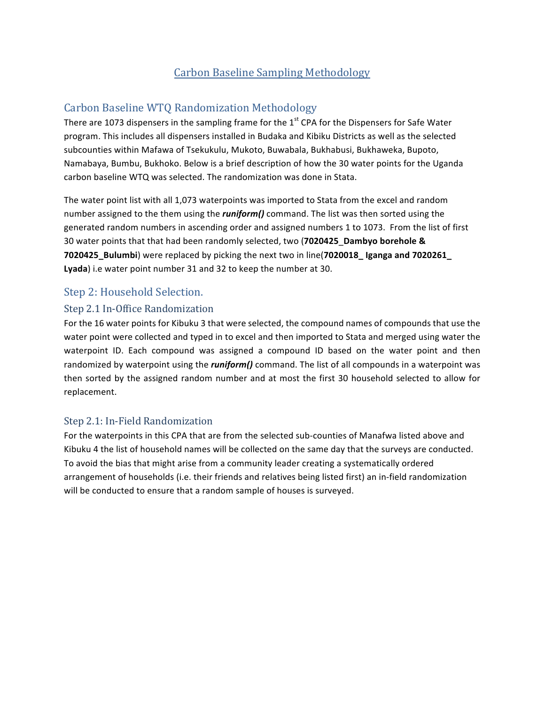# **Carbon Baseline Sampling Methodology**

# Carbon Baseline WTQ Randomization Methodology

There are 1073 dispensers in the sampling frame for the  $1<sup>st</sup>$  CPA for the Dispensers for Safe Water program. This includes all dispensers installed in Budaka and Kibiku Districts as well as the selected subcounties within Mafawa of Tsekukulu, Mukoto, Buwabala, Bukhabusi, Bukhaweka, Bupoto, Namabaya, Bumbu, Bukhoko. Below is a brief description of how the 30 water points for the Uganda carbon baseline WTQ was selected. The randomization was done in Stata.

The water point list with all 1,073 waterpoints was imported to Stata from the excel and random number assigned to the them using the *runiform()* command. The list was then sorted using the generated random numbers in ascending order and assigned numbers 1 to 1073. From the list of first 30 water points that that had been randomly selected, two (7020425 Dambyo borehole & **7020425\_Bulumbi**) were replaced by picking the next two in line(**7020018\_** Iganga and **7020261\_** Lyada) i.e water point number 31 and 32 to keep the number at 30.

## Step 2: Household Selection.

### Step 2.1 In-Office Randomization

For the 16 water points for Kibuku 3 that were selected, the compound names of compounds that use the water point were collected and typed in to excel and then imported to Stata and merged using water the waterpoint ID. Each compound was assigned a compound ID based on the water point and then randomized by waterpoint using the *runiform()* command. The list of all compounds in a waterpoint was then sorted by the assigned random number and at most the first 30 household selected to allow for replacement.

### Step 2.1: In-Field Randomization

For the waterpoints in this CPA that are from the selected sub-counties of Manafwa listed above and Kibuku 4 the list of household names will be collected on the same day that the surveys are conducted. To avoid the bias that might arise from a community leader creating a systematically ordered arrangement of households (i.e. their friends and relatives being listed first) an in-field randomization will be conducted to ensure that a random sample of houses is surveyed.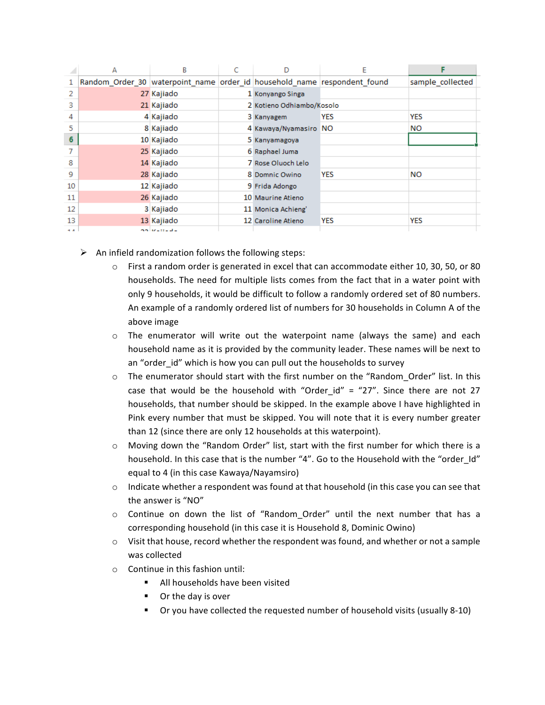|      | А                                                                        | B                   |                           | E          |                  |
|------|--------------------------------------------------------------------------|---------------------|---------------------------|------------|------------------|
| 1.   | Random Order 30 waterpoint name order id household name respondent found |                     |                           |            | sample_collected |
| 2    |                                                                          | 27 Kajiado          | 1 Konyango Singa          |            |                  |
| з    |                                                                          | 21 Kajiado          | 2 Kotieno Odhiambo/Kosolo |            |                  |
| 4    |                                                                          | 4 Kajiado           | 3 Kanyagem                | <b>YES</b> | YES              |
| 5    |                                                                          | 8 Kajiado           | 4 Kawaya/Nyamasiro NO     |            | NΟ               |
| 6    |                                                                          | 10 Kajiado          | 5 Kanyamagoya             |            |                  |
|      |                                                                          | 25 Kajiado          | 6 Raphael Juma            |            |                  |
| 8    |                                                                          | 14 Kajiado          | 7 Rose Oluoch Lelo        |            |                  |
| 9    |                                                                          | 28 Kajiado          | 8 Domnic Owino            | <b>YES</b> | NO               |
| 10   |                                                                          | 12 Kajiado          | 9 Frida Adongo            |            |                  |
| 11   |                                                                          | 26 Kajiado          | 10 Maurine Atieno         |            |                  |
| 12   |                                                                          | 3 Kajiado           | 11 Monica Achieng'        |            |                  |
| 13   |                                                                          | 13 Kajiado          | 12 Caroline Atieno        | YES        | YES              |
| $-1$ |                                                                          | بمالد بموقفه فالحوج |                           |            |                  |

- $\triangleright$  An infield randomization follows the following steps:
	- $\circ$  First a random order is generated in excel that can accommodate either 10, 30, 50, or 80 households. The need for multiple lists comes from the fact that in a water point with only 9 households, it would be difficult to follow a randomly ordered set of 80 numbers. An example of a randomly ordered list of numbers for 30 households in Column A of the above image
	- $\circ$  The enumerator will write out the waterpoint name (always the same) and each household name as it is provided by the community leader. These names will be next to an "order id" which is how you can pull out the households to survey
	- o The enumerator should start with the first number on the "Random\_Order" list. In this case that would be the household with "Order id" = "27". Since there are not 27 households, that number should be skipped. In the example above I have highlighted in Pink every number that must be skipped. You will note that it is every number greater than 12 (since there are only 12 households at this waterpoint).
	- $\circ$  Moving down the "Random Order" list, start with the first number for which there is a household. In this case that is the number "4". Go to the Household with the "order Id" equal to 4 (in this case Kawaya/Nayamsiro)
	- $\circ$  Indicate whether a respondent was found at that household (in this case you can see that the answer is "NO"
	- $\circ$  Continue on down the list of "Random\_Order" until the next number that has a corresponding household (in this case it is Household 8, Dominic Owino)
	- $\circ$  Visit that house, record whether the respondent was found, and whether or not a sample was collected
	- $\circ$  Continue in this fashion until:
		- All households have been visited
		- Or the day is over
		- Or you have collected the requested number of household visits (usually 8-10)